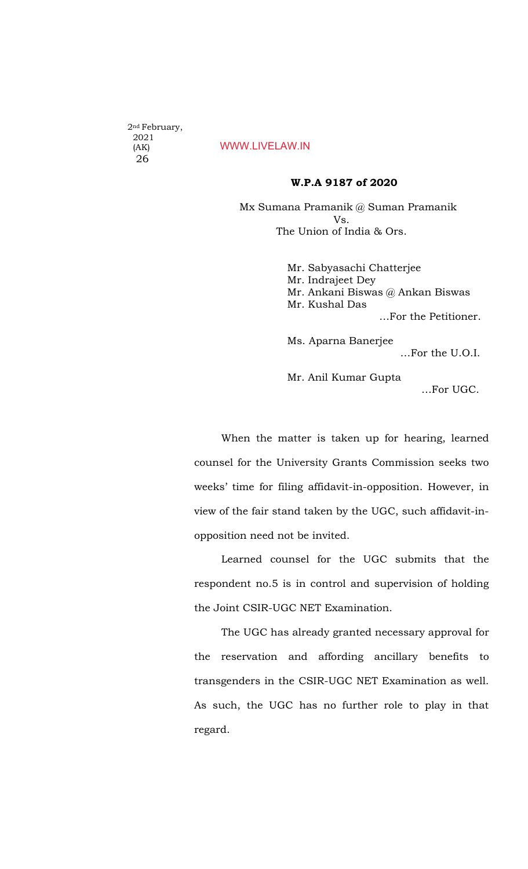2nd February, 2021 (AK) 26

## WWW.LIVELAW.IN

### W.P.A 9187 of 2020

 Mx Sumana Pramanik @ Suman Pramanik Vs. The Union of India & Ors.

> Mr. Sabyasachi Chatterjee Mr. Indrajeet Dey Mr. Ankani Biswas @ Ankan Biswas Mr. Kushal Das …For the Petitioner. Ms. Aparna Banerjee …For the U.O.I. Mr. Anil Kumar Gupta

> > …For UGC.

When the matter is taken up for hearing, learned counsel for the University Grants Commission seeks two weeks' time for filing affidavit-in-opposition. However, in view of the fair stand taken by the UGC, such affidavit-inopposition need not be invited.

Learned counsel for the UGC submits that the respondent no.5 is in control and supervision of holding the Joint CSIR-UGC NET Examination.

The UGC has already granted necessary approval for the reservation and affording ancillary benefits to transgenders in the CSIR-UGC NET Examination as well. As such, the UGC has no further role to play in that regard.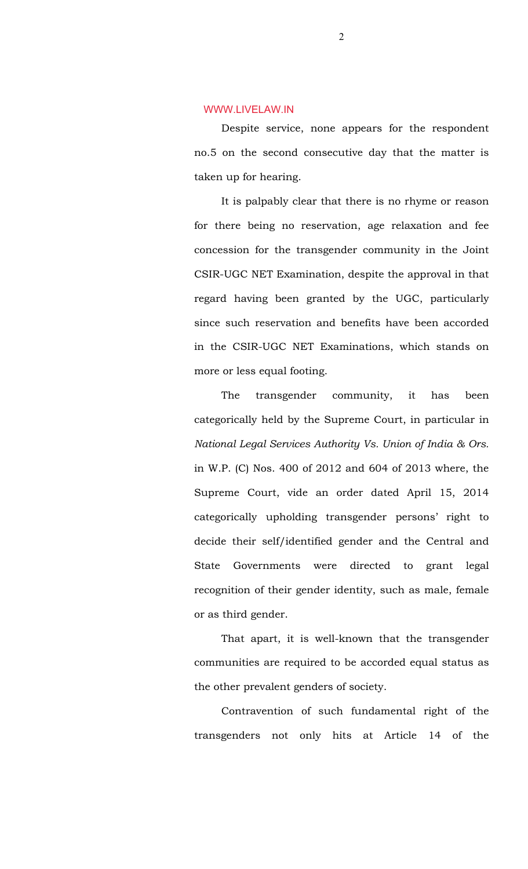### WWW.LIVELAW.IN

Despite service, none appears for the respondent no.5 on the second consecutive day that the matter is taken up for hearing.

It is palpably clear that there is no rhyme or reason for there being no reservation, age relaxation and fee concession for the transgender community in the Joint CSIR-UGC NET Examination, despite the approval in that regard having been granted by the UGC, particularly since such reservation and benefits have been accorded in the CSIR-UGC NET Examinations, which stands on more or less equal footing.

The transgender community, it has been categorically held by the Supreme Court, in particular in *National Legal Services Authority Vs. Union of India & Ors.* in W.P. (C) Nos. 400 of 2012 and 604 of 2013 where, the Supreme Court, vide an order dated April 15, 2014 categorically upholding transgender persons' right to decide their self/identified gender and the Central and State Governments were directed to grant legal recognition of their gender identity, such as male, female or as third gender.

That apart, it is well-known that the transgender communities are required to be accorded equal status as the other prevalent genders of society.

Contravention of such fundamental right of the transgenders not only hits at Article 14 of the

2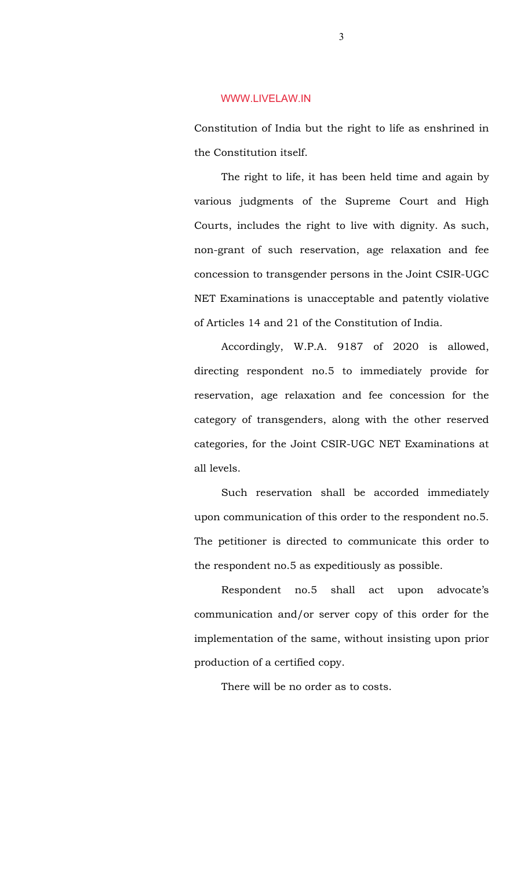#### WWW.LIVELAW.IN

Constitution of India but the right to life as enshrined in the Constitution itself.

The right to life, it has been held time and again by various judgments of the Supreme Court and High Courts, includes the right to live with dignity. As such, non-grant of such reservation, age relaxation and fee concession to transgender persons in the Joint CSIR-UGC NET Examinations is unacceptable and patently violative of Articles 14 and 21 of the Constitution of India.

Accordingly, W.P.A. 9187 of 2020 is allowed, directing respondent no.5 to immediately provide for reservation, age relaxation and fee concession for the category of transgenders, along with the other reserved categories, for the Joint CSIR-UGC NET Examinations at all levels.

Such reservation shall be accorded immediately upon communication of this order to the respondent no.5. The petitioner is directed to communicate this order to the respondent no.5 as expeditiously as possible.

Respondent no.5 shall act upon advocate's communication and/or server copy of this order for the implementation of the same, without insisting upon prior production of a certified copy.

There will be no order as to costs.